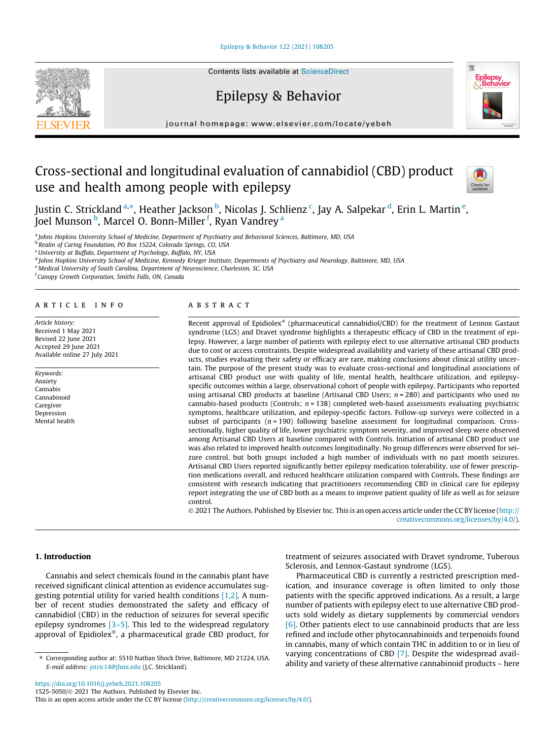[Epilepsy & Behavior 122 \(2021\) 108205](https://doi.org/10.1016/j.yebeh.2021.108205)



# Epilepsy & Behavior



journal homepage: [www.elsevier.com/locate/yebeh](http://www.elsevier.com/locate/yebeh)

# Cross-sectional and longitudinal evaluation of cannabidiol (CBD) product use and health among people with epilepsy



Justin C. Strickland <sup>a,</sup>\*, Heather Jackson <sup>b</sup>, Nicolas J. Schlienz <sup>c</sup>, Jay A. Salpekar <sup>d</sup>, Erin L. Martin <sup>e</sup>, Joel Munson <sup>b</sup>, Marcel O. Bonn-Miller <sup>f</sup>, Ryan Vandrey <sup>a</sup>

a Johns Hopkins University School of Medicine, Department of Psychiatry and Behavioral Sciences, Baltimore, MD, USA

<sup>5</sup> Realm of Caring Foundation, PO Box 15224, Colorado Springs, CO, USA

<sup>c</sup>University at Buffalo, Department of Psychology, Buffalo, NY, USA

d Johns Hopkins University School of Medicine, Kennedy Krieger Institute, Departments of Psychiatry and Neurology, Baltimore, MD, USA

e Medical University of South Carolina, Department of Neuroscience, Charleston, SC, USA

<sup>f</sup> Canopy Growth Corporation, Smiths Falls, ON, Canada

# article info

Article history: Received 1 May 2021 Revised 22 June 2021 Accepted 29 June 2021 Available online 27 July 2021

Keywords: Anxiety Cannabis Cannabinoid Caregiver Depression Mental health

# A B S T R A C T

Recent approval of Epidiolex<sup>®</sup> (pharmaceutical cannabidiol/CBD) for the treatment of Lennox Gastaut syndrome (LGS) and Dravet syndrome highlights a therapeutic efficacy of CBD in the treatment of epilepsy. However, a large number of patients with epilepsy elect to use alternative artisanal CBD products due to cost or access constraints. Despite widespread availability and variety of these artisanal CBD products, studies evaluating their safety or efficacy are rare, making conclusions about clinical utility uncertain. The purpose of the present study was to evaluate cross-sectional and longitudinal associations of artisanal CBD product use with quality of life, mental health, healthcare utilization, and epilepsyspecific outcomes within a large, observational cohort of people with epilepsy. Participants who reported using artisanal CBD products at baseline (Artisanal CBD Users;  $n = 280$ ) and participants who used no cannabis-based products (Controls;  $n = 138$ ) completed web-based assessments evaluating psychiatric symptoms, healthcare utilization, and epilepsy-specific factors. Follow-up surveys were collected in a subset of participants  $(n = 190)$  following baseline assessment for longitudinal comparison. Crosssectionally, higher quality of life, lower psychiatric symptom severity, and improved sleep were observed among Artisanal CBD Users at baseline compared with Controls. Initiation of artisanal CBD product use was also related to improved health outcomes longitudinally. No group differences were observed for seizure control, but both groups included a high number of individuals with no past month seizures. Artisanal CBD Users reported significantly better epilepsy medication tolerability, use of fewer prescription medications overall, and reduced healthcare utilization compared with Controls. These findings are consistent with research indicating that practitioners recommending CBD in clinical care for epilepsy report integrating the use of CBD both as a means to improve patient quality of life as well as for seizure control.

 2021 The Authors. Published by Elsevier Inc. This is an open access article under the CC BY license ([http://](http://creativecommons.org/licenses/by/4.0/) [creativecommons.org/licenses/by/4.0/](http://creativecommons.org/licenses/by/4.0/)).

# 1. Introduction

Cannabis and select chemicals found in the cannabis plant have received significant clinical attention as evidence accumulates suggesting potential utility for varied health conditions [\[1,2\]](#page-7-0). A number of recent studies demonstrated the safety and efficacy of cannabidiol (CBD) in the reduction of seizures for several specific epilepsy syndromes  $[3-5]$ . This led to the widespread regulatory approval of Epidiolex®, a pharmaceutical grade CBD product, for

⇑ Corresponding author at: 5510 Nathan Shock Drive, Baltimore, MD 21224, USA. E-mail address: [jstric14@jhmi.edu](mailto:jstric14@jhmi.edu) (J.C. Strickland).

treatment of seizures associated with Dravet syndrome, Tuberous Sclerosis, and Lennox-Gastaut syndrome (LGS).

Pharmaceutical CBD is currently a restricted prescription medication, and insurance coverage is often limited to only those patients with the specific approved indications. As a result, a large number of patients with epilepsy elect to use alternative CBD products sold widely as dietary supplements by commercial vendors [\[6\]](#page-7-0). Other patients elect to use cannabinoid products that are less refined and include other phytocannabinoids and terpenoids found in cannabis, many of which contain THC in addition to or in lieu of varying concentrations of CBD [\[7\]](#page-7-0). Despite the widespread availability and variety of these alternative cannabinoid products – here

<https://doi.org/10.1016/j.yebeh.2021.108205> 1525-5050/© 2021 The Authors. Published by Elsevier Inc.

This is an open access article under the CC BY license ([http://creativecommons.org/licenses/by/4.0/\)](http://creativecommons.org/licenses/by/4.0/).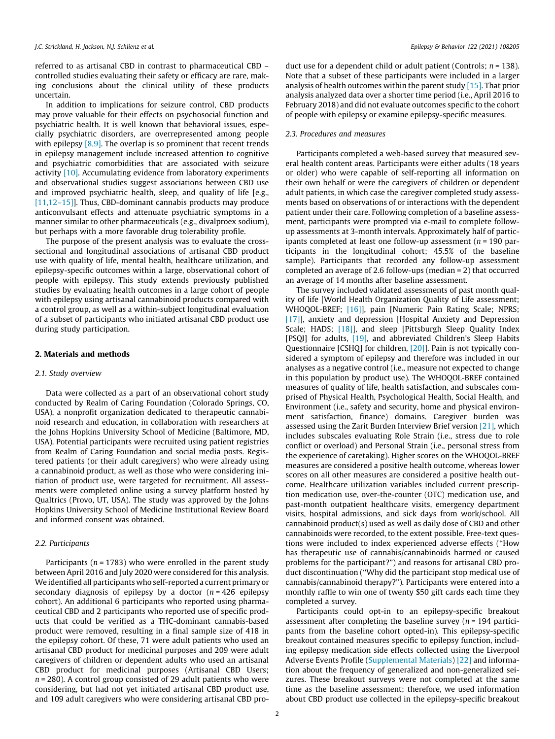referred to as artisanal CBD in contrast to pharmaceutical CBD – controlled studies evaluating their safety or efficacy are rare, making conclusions about the clinical utility of these products uncertain.

In addition to implications for seizure control, CBD products may prove valuable for their effects on psychosocial function and psychiatric health. It is well known that behavioral issues, especially psychiatric disorders, are overrepresented among people with epilepsy  $[8,9]$ . The overlap is so prominent that recent trends in epilepsy management include increased attention to cognitive and psychiatric comorbidities that are associated with seizure activity [\[10\].](#page-7-0) Accumulating evidence from laboratory experiments and observational studies suggest associations between CBD use and improved psychiatric health, sleep, and quality of life [e.g., [\[11,12–15\]\]](#page-7-0). Thus, CBD-dominant cannabis products may produce anticonvulsant effects and attenuate psychiatric symptoms in a manner similar to other pharmaceuticals (e.g., divalproex sodium), but perhaps with a more favorable drug tolerability profile.

The purpose of the present analysis was to evaluate the crosssectional and longitudinal associations of artisanal CBD product use with quality of life, mental health, healthcare utilization, and epilepsy-specific outcomes within a large, observational cohort of people with epilepsy. This study extends previously published studies by evaluating health outcomes in a large cohort of people with epilepsy using artisanal cannabinoid products compared with a control group, as well as a within-subject longitudinal evaluation of a subset of participants who initiated artisanal CBD product use during study participation.

#### 2. Materials and methods

#### 2.1. Study overview

Data were collected as a part of an observational cohort study conducted by Realm of Caring Foundation (Colorado Springs, CO, USA), a nonprofit organization dedicated to therapeutic cannabinoid research and education, in collaboration with researchers at the Johns Hopkins University School of Medicine (Baltimore, MD, USA). Potential participants were recruited using patient registries from Realm of Caring Foundation and social media posts. Registered patients (or their adult caregivers) who were already using a cannabinoid product, as well as those who were considering initiation of product use, were targeted for recruitment. All assessments were completed online using a survey platform hosted by Qualtrics (Provo, UT, USA). The study was approved by the Johns Hopkins University School of Medicine Institutional Review Board and informed consent was obtained.

# 2.2. Participants

Participants ( $n = 1783$ ) who were enrolled in the parent study between April 2016 and July 2020 were considered for this analysis. We identified all participants who self-reported a current primary or secondary diagnosis of epilepsy by a doctor  $(n = 426$  epilepsy cohort). An additional 6 participants who reported using pharmaceutical CBD and 2 participants who reported use of specific products that could be verified as a THC-dominant cannabis-based product were removed, resulting in a final sample size of 418 in the epilepsy cohort. Of these, 71 were adult patients who used an artisanal CBD product for medicinal purposes and 209 were adult caregivers of children or dependent adults who used an artisanal CBD product for medicinal purposes (Artisanal CBD Users;  $n = 280$ ). A control group consisted of 29 adult patients who were considering, but had not yet initiated artisanal CBD product use, and 109 adult caregivers who were considering artisanal CBD product use for a dependent child or adult patient (Controls:  $n = 138$ ). Note that a subset of these participants were included in a larger analysis of health outcomes within the parent study [\[15\].](#page-7-0) That prior analysis analyzed data over a shorter time period (i.e., April 2016 to February 2018) and did not evaluate outcomes specific to the cohort of people with epilepsy or examine epilepsy-specific measures.

# 2.3. Procedures and measures

Participants completed a web-based survey that measured several health content areas. Participants were either adults (18 years or older) who were capable of self-reporting all information on their own behalf or were the caregivers of children or dependent adult patients, in which case the caregiver completed study assessments based on observations of or interactions with the dependent patient under their care. Following completion of a baseline assessment, participants were prompted via e-mail to complete followup assessments at 3-month intervals. Approximately half of participants completed at least one follow-up assessment ( $n = 190$  participants in the longitudinal cohort; 45.5% of the baseline sample). Participants that recorded any follow-up assessment completed an average of 2.6 follow-ups (median = 2) that occurred an average of 14 months after baseline assessment.

The survey included validated assessments of past month quality of life [World Health Organization Quality of Life assessment; WHOQOL-BREF; [\[16\]\]](#page-7-0), pain [Numeric Pain Rating Scale; NPRS; [\[17\]](#page-7-0)], anxiety and depression [Hospital Anxiety and Depression Scale; HADS; [18], and sleep [Pittsburgh Sleep Quality Index [PSQI] for adults, [\[19\],](#page-7-0) and abbreviated Children's Sleep Habits Questionnaire [CSHQ] for children, [\[20\]\]](#page-7-0). Pain is not typically considered a symptom of epilepsy and therefore was included in our analyses as a negative control (i.e., measure not expected to change in this population by product use). The WHOQOL-BREF contained measures of quality of life, health satisfaction, and subscales comprised of Physical Health, Psychological Health, Social Health, and Environment (i.e., safety and security, home and physical environment satisfaction, finance) domains. Caregiver burden was assessed using the Zarit Burden Interview Brief version [\[21\]](#page-7-0), which includes subscales evaluating Role Strain (i.e., stress due to role conflict or overload) and Personal Strain (i.e., personal stress from the experience of caretaking). Higher scores on the WHOQOL-BREF measures are considered a positive health outcome, whereas lower scores on all other measures are considered a positive health outcome. Healthcare utilization variables included current prescription medication use, over-the-counter (OTC) medication use, and past-month outpatient healthcare visits, emergency department visits, hospital admissions, and sick days from work/school. All cannabinoid product(s) used as well as daily dose of CBD and other cannabinoids were recorded, to the extent possible. Free-text questions were included to index experienced adverse effects (''How has therapeutic use of cannabis/cannabinoids harmed or caused problems for the participant?") and reasons for artisanal CBD product discontinuation (''Why did the participant stop medical use of cannabis/cannabinoid therapy?"). Participants were entered into a monthly raffle to win one of twenty \$50 gift cards each time they completed a survey.

Participants could opt-in to an epilepsy-specific breakout assessment after completing the baseline survey ( $n = 194$  participants from the baseline cohort opted-in). This epilepsy-specific breakout contained measures specific to epilepsy function, including epilepsy medication side effects collected using the Liverpool Adverse Events Profile (Supplemental Materials) [\[22\]](#page-7-0) and information about the frequency of generalized and non-generalized seizures. These breakout surveys were not completed at the same time as the baseline assessment; therefore, we used information about CBD product use collected in the epilepsy-specific breakout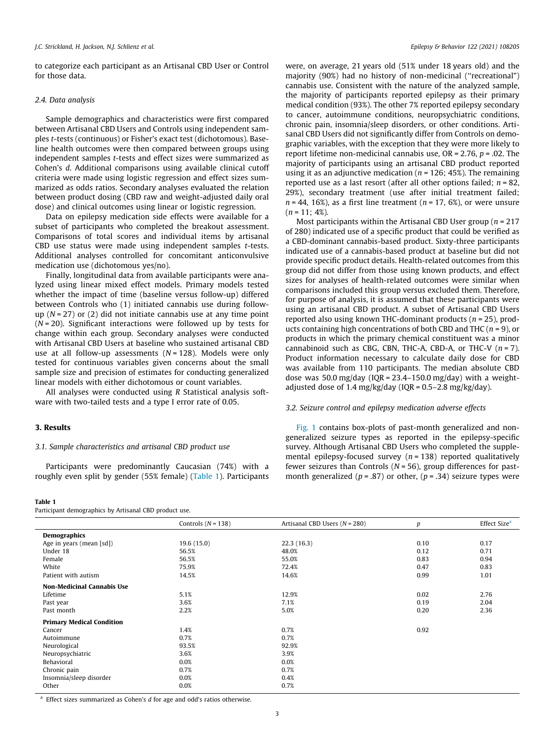to categorize each participant as an Artisanal CBD User or Control for those data.

# 2.4. Data analysis

Sample demographics and characteristics were first compared between Artisanal CBD Users and Controls using independent samples t-tests (continuous) or Fisher's exact test (dichotomous). Baseline health outcomes were then compared between groups using independent samples t-tests and effect sizes were summarized as Cohen's d. Additional comparisons using available clinical cutoff criteria were made using logistic regression and effect sizes summarized as odds ratios. Secondary analyses evaluated the relation between product dosing (CBD raw and weight-adjusted daily oral dose) and clinical outcomes using linear or logistic regression.

Data on epilepsy medication side effects were available for a subset of participants who completed the breakout assessment. Comparisons of total scores and individual items by artisanal CBD use status were made using independent samples t-tests. Additional analyses controlled for concomitant anticonvulsive medication use (dichotomous yes/no).

Finally, longitudinal data from available participants were analyzed using linear mixed effect models. Primary models tested whether the impact of time (baseline versus follow-up) differed between Controls who (1) initiated cannabis use during followup  $(N = 27)$  or  $(2)$  did not initiate cannabis use at any time point  $(N = 20)$ . Significant interactions were followed up by tests for change within each group. Secondary analyses were conducted with Artisanal CBD Users at baseline who sustained artisanal CBD use at all follow-up assessments  $(N = 128)$ . Models were only tested for continuous variables given concerns about the small sample size and precision of estimates for conducting generalized linear models with either dichotomous or count variables.

All analyses were conducted using R Statistical analysis software with two-tailed tests and a type I error rate of 0.05.

# 3. Results

### 3.1. Sample characteristics and artisanal CBD product use

Participants were predominantly Caucasian (74%) with a roughly even split by gender (55% female) (Table 1). Participants

#### Table 1

Participant demographics by Artisanal CBD product use.

were, on average, 21 years old (51% under 18 years old) and the majority (90%) had no history of non-medicinal (''recreational") cannabis use. Consistent with the nature of the analyzed sample, the majority of participants reported epilepsy as their primary medical condition (93%). The other 7% reported epilepsy secondary to cancer, autoimmune conditions, neuropsychiatric conditions, chronic pain, insomnia/sleep disorders, or other conditions. Artisanal CBD Users did not significantly differ from Controls on demographic variables, with the exception that they were more likely to report lifetime non-medicinal cannabis use,  $OR = 2.76$ ,  $p = .02$ . The majority of participants using an artisanal CBD product reported using it as an adjunctive medication ( $n = 126$ ; 45%). The remaining reported use as a last resort (after all other options failed;  $n = 82$ , 29%), secondary treatment (use after initial treatment failed;  $n = 44$ , 16%), as a first line treatment ( $n = 17, 6%$ ), or were unsure  $(n = 11:4\%)$ .

Most participants within the Artisanal CBD User group ( $n = 217$ ) of 280) indicated use of a specific product that could be verified as a CBD-dominant cannabis-based product. Sixty-three participants indicated use of a cannabis-based product at baseline but did not provide specific product details. Health-related outcomes from this group did not differ from those using known products, and effect sizes for analyses of health-related outcomes were similar when comparisons included this group versus excluded them. Therefore, for purpose of analysis, it is assumed that these participants were using an artisanal CBD product. A subset of Artisanal CBD Users reported also using known THC-dominant products ( $n = 25$ ), products containing high concentrations of both CBD and THC  $(n = 9)$ , or products in which the primary chemical constituent was a minor cannabinoid such as CBG, CBN, THC-A, CBD-A, or THC-V  $(n = 7)$ . Product information necessary to calculate daily dose for CBD was available from 110 participants. The median absolute CBD dose was 50.0 mg/day (IQR =  $23.4-150.0$  mg/day) with a weightadjusted dose of 1.4 mg/kg/day (IQR =  $0.5-2.8$  mg/kg/day).

# 3.2. Seizure control and epilepsy medication adverse effects

[Fig. 1](#page-3-0) contains box-plots of past-month generalized and nongeneralized seizure types as reported in the epilepsy-specific survey. Although Artisanal CBD Users who completed the supplemental epilepsy-focused survey ( $n = 138$ ) reported qualitatively fewer seizures than Controls ( $N = 56$ ), group differences for pastmonth generalized ( $p = .87$ ) or other, ( $p = .34$ ) seizure types were

|                                   | Controls $(N = 138)$ | Artisanal CBD Users $(N = 280)$ | $\boldsymbol{p}$ | Effect Size <sup>a</sup> |
|-----------------------------------|----------------------|---------------------------------|------------------|--------------------------|
| <b>Demographics</b>               |                      |                                 |                  |                          |
| Age in years (mean [sd])          | 19.6(15.0)           | 22.3(16.3)                      | 0.10             | 0.17                     |
| Under 18                          | 56.5%                | 48.0%                           | 0.12             | 0.71                     |
| Female                            | 56.5%                | 55.0%                           | 0.83             | 0.94                     |
| White                             | 75.9%                | 72.4%                           | 0.47             | 0.83                     |
| Patient with autism               | 14.5%                | 14.6%                           | 0.99             | 1.01                     |
| <b>Non-Medicinal Cannabis Use</b> |                      |                                 |                  |                          |
| Lifetime                          | 5.1%                 | 12.9%                           | 0.02             | 2.76                     |
| Past year                         | 3.6%                 | 7.1%                            | 0.19             | 2.04                     |
| Past month                        | 2.2%                 | 5.0%                            | 0.20             | 2.36                     |
| <b>Primary Medical Condition</b>  |                      |                                 |                  |                          |
| Cancer                            | 1.4%                 | 0.7%                            | 0.92             |                          |
| Autoimmune                        | 0.7%                 | 0.7%                            |                  |                          |
| Neurological                      | 93.5%                | 92.9%                           |                  |                          |
| Neuropsychiatric                  | 3.6%                 | 3.9%                            |                  |                          |
| Behavioral                        | 0.0%                 | 0.0%                            |                  |                          |
| Chronic pain                      | 0.7%                 | 0.7%                            |                  |                          |
| Insomnia/sleep disorder           | 0.0%                 | 0.4%                            |                  |                          |
| Other                             | 0.0%                 | 0.7%                            |                  |                          |
|                                   |                      |                                 |                  |                          |

 $a$  Effect sizes summarized as Cohen's  $d$  for age and odd's ratios otherwise.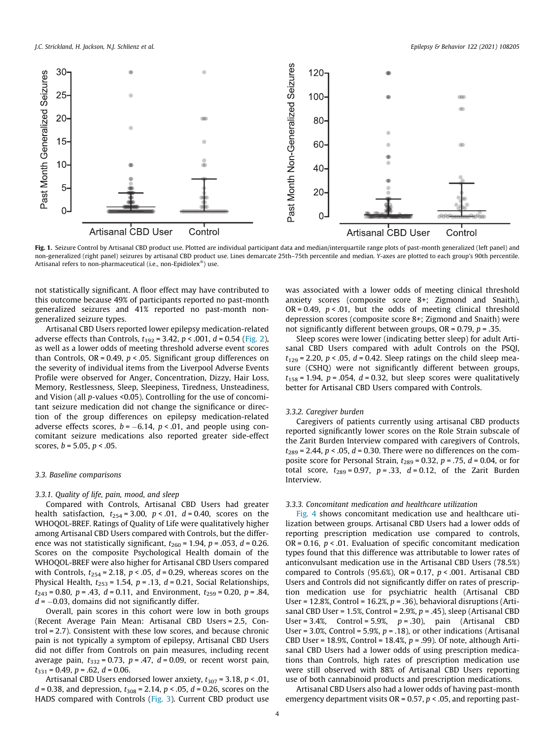<span id="page-3-0"></span>

Fig. 1. Seizure Control by Artisanal CBD product use. Plotted are individual participant data and median/interquartile range plots of past-month generalized (left panel) and non-generalized (right panel) seizures by artisanal CBD product use. Lines demarcate 25th–75th percentile and median. Y-axes are plotted to each group's 90th percentile. Artisanal refers to non-pharmaceutical (i.e., non-Epidiolex®) use.

not statistically significant. A floor effect may have contributed to this outcome because 49% of participants reported no past-month generalized seizures and 41% reported no past-month nongeneralized seizure types.

Artisanal CBD Users reported lower epilepsy medication-related adverse effects than Controls,  $t_{192} = 3.42$ ,  $p < .001$ ,  $d = 0.54$  [\(Fig. 2\)](#page-4-0), as well as a lower odds of meeting threshold adverse event scores than Controls,  $OR = 0.49$ ,  $p < .05$ . Significant group differences on the severity of individual items from the Liverpool Adverse Events Profile were observed for Anger, Concentration, Dizzy, Hair Loss, Memory, Restlessness, Sleep, Sleepiness, Tiredness, Unsteadiness, and Vision (all p-values <0.05). Controlling for the use of concomitant seizure medication did not change the significance or direction of the group differences on epilepsy medication-related adverse effects scores,  $b = -6.14$ ,  $p < .01$ , and people using concomitant seizure medications also reported greater side-effect scores,  $b = 5.05$ ,  $p < .05$ .

# 3.3. Baseline comparisons

#### 3.3.1. Quality of life, pain, mood, and sleep

Compared with Controls, Artisanal CBD Users had greater health satisfaction,  $t_{254} = 3.00$ ,  $p < .01$ ,  $d = 0.40$ , scores on the WHOQOL-BREF. Ratings of Quality of Life were qualitatively higher among Artisanal CBD Users compared with Controls, but the difference was not statistically significant,  $t_{260}$  = 1.94,  $p$  = .053,  $d$  = 0.26. Scores on the composite Psychological Health domain of the WHOQOL-BREF were also higher for Artisanal CBD Users compared with Controls,  $t_{254}$  = 2.18,  $p < .05$ ,  $d = 0.29$ , whereas scores on the Physical Health,  $t_{253}$  = 1.54,  $p$  = .13,  $d$  = 0.21, Social Relationships,  $t_{243} = 0.80$ ,  $p = .43$ ,  $d = 0.11$ , and Environment,  $t_{259} = 0.20$ ,  $p = .84$ ,  $d = -0.03$ , domains did not significantly differ.

Overall, pain scores in this cohort were low in both groups (Recent Average Pain Mean: Artisanal CBD Users = 2.5, Control = 2.7). Consistent with these low scores, and because chronic pain is not typically a symptom of epilepsy, Artisanal CBD Users did not differ from Controls on pain measures, including recent average pain,  $t_{332} = 0.73$ ,  $p = .47$ ,  $d = 0.09$ , or recent worst pain,  $t_{331} = 0.49, p = .62, d = 0.06.$ 

Artisanal CBD Users endorsed lower anxiety,  $t_{307}$  = 3.18,  $p < .01$ ,  $d = 0.38$ , and depression,  $t_{308} = 2.14$ ,  $p < .05$ ,  $d = 0.26$ , scores on the HADS compared with Controls [\(Fig. 3](#page-5-0)). Current CBD product use

was associated with a lower odds of meeting clinical threshold anxiety scores (composite score 8+; Zigmond and Snaith), OR = 0.49,  $p < .01$ , but the odds of meeting clinical threshold depression scores (composite score 8+; Zigmond and Snaith) were not significantly different between groups,  $OR = 0.79$ ,  $p = .35$ .

Sleep scores were lower (indicating better sleep) for adult Artisanal CBD Users compared with adult Controls on the PSQI,  $t_{129}$  = 2.20, p < .05, d = 0.42. Sleep ratings on the child sleep measure (CSHQ) were not significantly different between groups,  $t_{158}$  = 1.94, p = .054, d = 0.32, but sleep scores were qualitatively better for Artisanal CBD Users compared with Controls.

# 3.3.2. Caregiver burden

Caregivers of patients currently using artisanal CBD products reported significantly lower scores on the Role Strain subscale of the Zarit Burden Interview compared with caregivers of Controls,  $t_{289}$  = 2.44,  $p < .05$ ,  $d = 0.30$ . There were no differences on the composite score for Personal Strain,  $t_{289}$  = 0.32,  $p$  = .75,  $d$  = 0.04, or for total score,  $t_{289} = 0.97$ ,  $p = .33$ ,  $d = 0.12$ , of the Zarit Burden Interview.

#### 3.3.3. Concomitant medication and healthcare utilization

[Fig. 4](#page-6-0) shows concomitant medication use and healthcare utilization between groups. Artisanal CBD Users had a lower odds of reporting prescription medication use compared to controls, OR = 0.16,  $p < .01$ . Evaluation of specific concomitant medication types found that this difference was attributable to lower rates of anticonvulsant medication use in the Artisanal CBD Users (78.5%) compared to Controls (95.6%), OR = 0.17,  $p < .001$ . Artisanal CBD Users and Controls did not significantly differ on rates of prescription medication use for psychiatric health (Artisanal CBD User = 12.8%, Control = 16.2%,  $p = .36$ ), behavioral disruptions (Artisanal CBD User = 1.5%, Control = 2.9%,  $p = .45$ ), sleep (Artisanal CBD User = 3.4%, Control = 5.9%,  $p = .30$ ), pain (Artisanal CBD User =  $3.0\%$ , Control =  $5.9\%$ ,  $p = .18$ ), or other indications (Artisanal CBD User = 18.9%, Control = 18.4%,  $p = .99$ ). Of note, although Artisanal CBD Users had a lower odds of using prescription medications than Controls, high rates of prescription medication use were still observed with 88% of Artisanal CBD Users reporting use of both cannabinoid products and prescription medications.

Artisanal CBD Users also had a lower odds of having past-month emergency department visits  $OR = 0.57$ ,  $p < .05$ , and reporting past-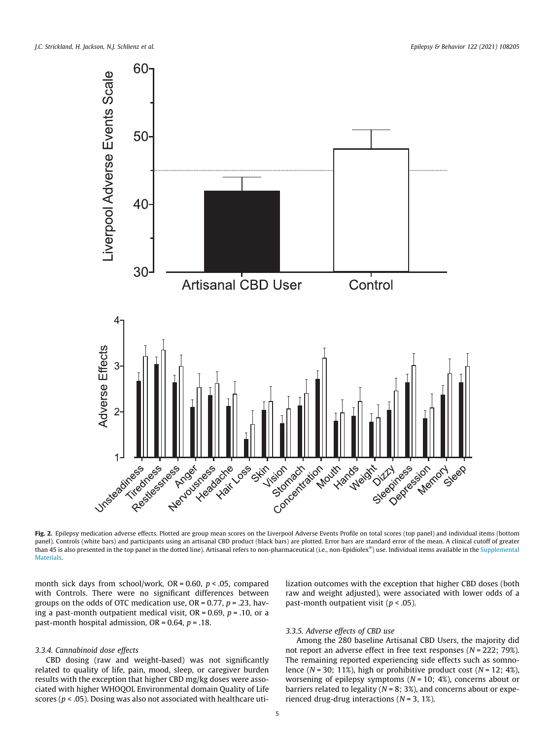<span id="page-4-0"></span>

Fig. 2. Epilepsy medication adverse effects. Plotted are group mean scores on the Liverpool Adverse Events Profile on total scores (top panel) and individual items (bottom panel). Controls (white bars) and participants using an artisanal CBD product (black bars) are plotted. Error bars are standard error of the mean. A clinical cutoff of greater than 45 is also presented in the top panel in the dotted line). Artisanal refers to non-pharmaceutical (i.e., non-Epidiolex®) use. Individual items available in the Supplemental **Materials** 

month sick days from school/work,  $OR = 0.60$ ,  $p < .05$ , compared with Controls. There were no significant differences between groups on the odds of OTC medication use,  $OR = 0.77$ ,  $p = .23$ , having a past-month outpatient medical visit,  $OR = 0.69$ ,  $p = .10$ , or a past-month hospital admission,  $OR = 0.64$ ,  $p = .18$ .

# 3.3.4. Cannabinoid dose effects

CBD dosing (raw and weight-based) was not significantly related to quality of life, pain, mood, sleep, or caregiver burden results with the exception that higher CBD mg/kg doses were associated with higher WHOQOL Environmental domain Quality of Life scores ( $p < .05$ ). Dosing was also not associated with healthcare utilization outcomes with the exception that higher CBD doses (both raw and weight adjusted), were associated with lower odds of a past-month outpatient visit ( $p < .05$ ).

# 3.3.5. Adverse effects of CBD use

Among the 280 baseline Artisanal CBD Users, the majority did not report an adverse effect in free text responses ( $N = 222$ ; 79%). The remaining reported experiencing side effects such as somnolence ( $N = 30$ ; 11%), high or prohibitive product cost ( $N = 12$ ; 4%), worsening of epilepsy symptoms  $(N = 10; 4%)$ , concerns about or barriers related to legality ( $N = 8$ ; 3%), and concerns about or experienced drug-drug interactions ( $N = 3, 1\%$ ).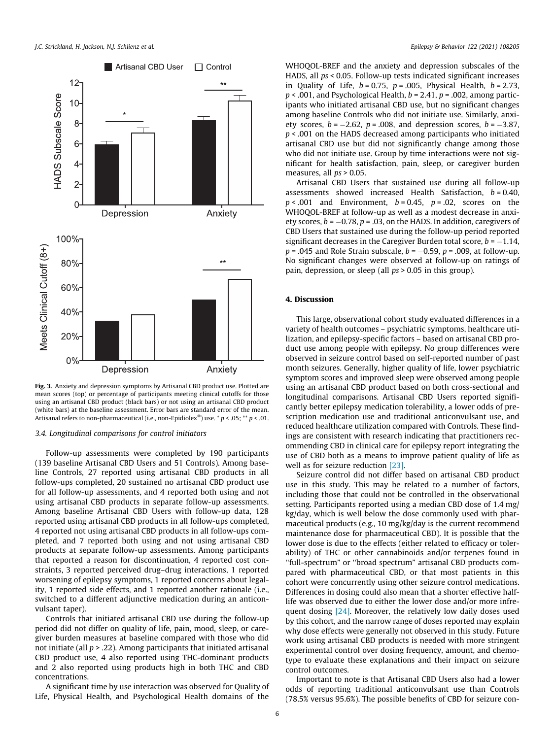<span id="page-5-0"></span>

Fig. 3. Anxiety and depression symptoms by Artisanal CBD product use. Plotted are mean scores (top) or percentage of participants meeting clinical cutoffs for those using an artisanal CBD product (black bars) or not using an artisanal CBD product (white bars) at the baseline assessment. Error bars are standard error of the mean. Artisanal refers to non-pharmaceutical (i.e., non-Epidiolex®) use.  $* p < .05; ** p < .01$ .

# 3.4. Longitudinal comparisons for control initiators

Follow-up assessments were completed by 190 participants (139 baseline Artisanal CBD Users and 51 Controls). Among baseline Controls, 27 reported using artisanal CBD products in all follow-ups completed, 20 sustained no artisanal CBD product use for all follow-up assessments, and 4 reported both using and not using artisanal CBD products in separate follow-up assessments. Among baseline Artisanal CBD Users with follow-up data, 128 reported using artisanal CBD products in all follow-ups completed, 4 reported not using artisanal CBD products in all follow-ups completed, and 7 reported both using and not using artisanal CBD products at separate follow-up assessments. Among participants that reported a reason for discontinuation, 4 reported cost constraints, 3 reported perceived drug–drug interactions, 1 reported worsening of epilepsy symptoms, 1 reported concerns about legality, 1 reported side effects, and 1 reported another rationale (i.e., switched to a different adjunctive medication during an anticonvulsant taper).

Controls that initiated artisanal CBD use during the follow-up period did not differ on quality of life, pain, mood, sleep, or caregiver burden measures at baseline compared with those who did not initiate (all  $p > 0.22$ ). Among participants that initiated artisanal CBD product use, 4 also reported using THC-dominant products and 2 also reported using products high in both THC and CBD concentrations.

A significant time by use interaction was observed for Quality of Life, Physical Health, and Psychological Health domains of the WHOQOL-BREF and the anxiety and depression subscales of the HADS, all ps < 0.05. Follow-up tests indicated significant increases in Quality of Life,  $b = 0.75$ ,  $p = .005$ , Physical Health,  $b = 2.73$ ,  $p < .001$ , and Psychological Health,  $b = 2.41$ ,  $p = .002$ , among participants who initiated artisanal CBD use, but no significant changes among baseline Controls who did not initiate use. Similarly, anxiety scores,  $b = -2.62$ ,  $p = .008$ , and depression scores,  $b = -3.87$ ,  $p < .001$  on the HADS decreased among participants who initiated artisanal CBD use but did not significantly change among those who did not initiate use. Group by time interactions were not significant for health satisfaction, pain, sleep, or caregiver burden measures, all  $ps > 0.05$ .

Artisanal CBD Users that sustained use during all follow-up assessments showed increased Health Satisfaction,  $b = 0.40$ ,  $p < .001$  and Environment,  $b = 0.45$ ,  $p = .02$ , scores on the WHOQOL-BREF at follow-up as well as a modest decrease in anxiety scores,  $b = -0.78$ ,  $p = .03$ , on the HADS. In addition, caregivers of CBD Users that sustained use during the follow-up period reported significant decreases in the Caregiver Burden total score,  $b = -1.14$ ,  $p = .045$  and Role Strain subscale,  $b = -0.59$ ,  $p = .009$ , at follow-up. No significant changes were observed at follow-up on ratings of pain, depression, or sleep (all ps > 0.05 in this group).

# 4. Discussion

This large, observational cohort study evaluated differences in a variety of health outcomes – psychiatric symptoms, healthcare utilization, and epilepsy-specific factors – based on artisanal CBD product use among people with epilepsy. No group differences were observed in seizure control based on self-reported number of past month seizures. Generally, higher quality of life, lower psychiatric symptom scores and improved sleep were observed among people using an artisanal CBD product based on both cross-sectional and longitudinal comparisons. Artisanal CBD Users reported significantly better epilepsy medication tolerability, a lower odds of prescription medication use and traditional anticonvulsant use, and reduced healthcare utilization compared with Controls. These findings are consistent with research indicating that practitioners recommending CBD in clinical care for epilepsy report integrating the use of CBD both as a means to improve patient quality of life as well as for seizure reduction [\[23\]](#page-7-0).

Seizure control did not differ based on artisanal CBD product use in this study. This may be related to a number of factors, including those that could not be controlled in the observational setting. Participants reported using a median CBD dose of 1.4 mg/ kg/day, which is well below the dose commonly used with pharmaceutical products (e.g., 10 mg/kg/day is the current recommend maintenance dose for pharmaceutical CBD). It is possible that the lower dose is due to the effects (either related to efficacy or tolerability) of THC or other cannabinoids and/or terpenes found in ''full-spectrum" or ''broad spectrum" artisanal CBD products compared with pharmaceutical CBD, or that most patients in this cohort were concurrently using other seizure control medications. Differences in dosing could also mean that a shorter effective halflife was observed due to either the lower dose and/or more infre-quent dosing [\[24\]](#page-8-0). Moreover, the relatively low daily doses used by this cohort, and the narrow range of doses reported may explain why dose effects were generally not observed in this study. Future work using artisanal CBD products is needed with more stringent experimental control over dosing frequency, amount, and chemotype to evaluate these explanations and their impact on seizure control outcomes.

Important to note is that Artisanal CBD Users also had a lower odds of reporting traditional anticonvulsant use than Controls (78.5% versus 95.6%). The possible benefits of CBD for seizure con-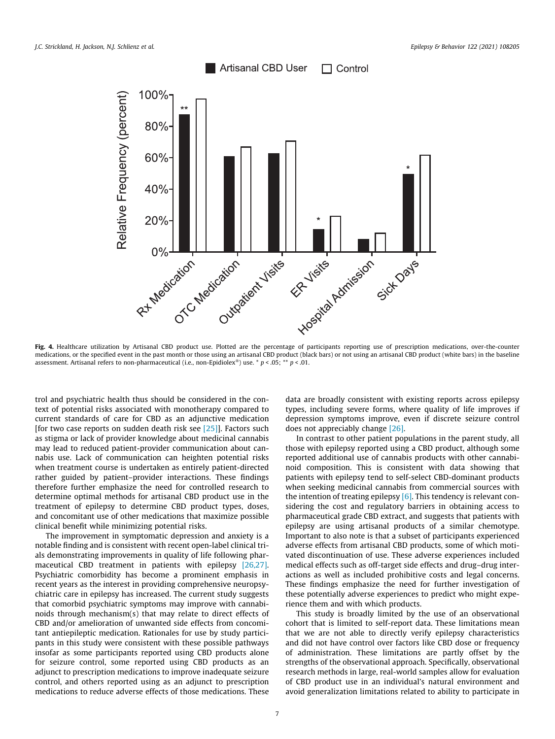<span id="page-6-0"></span>

Fig. 4. Healthcare utilization by Artisanal CBD product use. Plotted are the percentage of participants reporting use of prescription medications, over-the-counter medications, or the specified event in the past month or those using an artisanal CBD product (black bars) or not using an artisanal CBD product (white bars) in the baseline assessment. Artisanal refers to non-pharmaceutical (i.e., non-Epidiolex®) use. \*  $p < .05$ ; \*\*  $p < .01$ .

trol and psychiatric health thus should be considered in the context of potential risks associated with monotherapy compared to current standards of care for CBD as an adjunctive medication [for two case reports on sudden death risk see [\[25\]\]](#page-8-0). Factors such as stigma or lack of provider knowledge about medicinal cannabis may lead to reduced patient-provider communication about cannabis use. Lack of communication can heighten potential risks when treatment course is undertaken as entirely patient-directed rather guided by patient–provider interactions. These findings therefore further emphasize the need for controlled research to determine optimal methods for artisanal CBD product use in the treatment of epilepsy to determine CBD product types, doses, and concomitant use of other medications that maximize possible clinical benefit while minimizing potential risks.

The improvement in symptomatic depression and anxiety is a notable finding and is consistent with recent open-label clinical trials demonstrating improvements in quality of life following pharmaceutical CBD treatment in patients with epilepsy [\[26,27\].](#page-8-0) Psychiatric comorbidity has become a prominent emphasis in recent years as the interest in providing comprehensive neuropsychiatric care in epilepsy has increased. The current study suggests that comorbid psychiatric symptoms may improve with cannabinoids through mechanism(s) that may relate to direct effects of CBD and/or amelioration of unwanted side effects from concomitant antiepileptic medication. Rationales for use by study participants in this study were consistent with these possible pathways insofar as some participants reported using CBD products alone for seizure control, some reported using CBD products as an adjunct to prescription medications to improve inadequate seizure control, and others reported using as an adjunct to prescription medications to reduce adverse effects of those medications. These data are broadly consistent with existing reports across epilepsy types, including severe forms, where quality of life improves if depression symptoms improve, even if discrete seizure control does not appreciably change [\[26\]](#page-8-0).

In contrast to other patient populations in the parent study, all those with epilepsy reported using a CBD product, although some reported additional use of cannabis products with other cannabinoid composition. This is consistent with data showing that patients with epilepsy tend to self-select CBD-dominant products when seeking medicinal cannabis from commercial sources with the intention of treating epilepsy [\[6\]](#page-7-0). This tendency is relevant considering the cost and regulatory barriers in obtaining access to pharmaceutical grade CBD extract, and suggests that patients with epilepsy are using artisanal products of a similar chemotype. Important to also note is that a subset of participants experienced adverse effects from artisanal CBD products, some of which motivated discontinuation of use. These adverse experiences included medical effects such as off-target side effects and drug–drug interactions as well as included prohibitive costs and legal concerns. These findings emphasize the need for further investigation of these potentially adverse experiences to predict who might experience them and with which products.

This study is broadly limited by the use of an observational cohort that is limited to self-report data. These limitations mean that we are not able to directly verify epilepsy characteristics and did not have control over factors like CBD dose or frequency of administration. These limitations are partly offset by the strengths of the observational approach. Specifically, observational research methods in large, real-world samples allow for evaluation of CBD product use in an individual's natural environment and avoid generalization limitations related to ability to participate in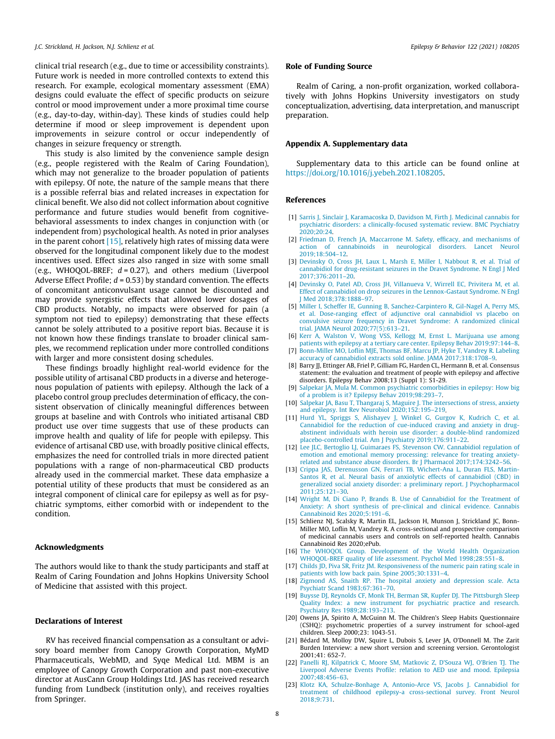<span id="page-7-0"></span>clinical trial research (e.g., due to time or accessibility constraints). Future work is needed in more controlled contexts to extend this research. For example, ecological momentary assessment (EMA) designs could evaluate the effect of specific products on seizure control or mood improvement under a more proximal time course (e.g., day-to-day, within-day). These kinds of studies could help determine if mood or sleep improvement is dependent upon improvements in seizure control or occur independently of changes in seizure frequency or strength.

This study is also limited by the convenience sample design (e.g., people registered with the Realm of Caring Foundation), which may not generalize to the broader population of patients with epilepsy. Of note, the nature of the sample means that there is a possible referral bias and related increases in expectation for clinical benefit. We also did not collect information about cognitive performance and future studies would benefit from cognitivebehavioral assessments to index changes in conjunction with (or independent from) psychological health. As noted in prior analyses in the parent cohort  $[15]$ , relatively high rates of missing data were observed for the longitudinal component likely due to the modest incentives used. Effect sizes also ranged in size with some small (e.g., WHOQOL-BREF;  $d = 0.27$ ), and others medium (Liverpool Adverse Effect Profile;  $d = 0.53$ ) by standard convention. The effects of concomitant anticonvulsant usage cannot be discounted and may provide synergistic effects that allowed lower dosages of CBD products. Notably, no impacts were observed for pain (a symptom not tied to epilepsy) demonstrating that these effects cannot be solely attributed to a positive report bias. Because it is not known how these findings translate to broader clinical samples, we recommend replication under more controlled conditions with larger and more consistent dosing schedules.

These findings broadly highlight real-world evidence for the possible utility of artisanal CBD products in a diverse and heterogenous population of patients with epilepsy. Although the lack of a placebo control group precludes determination of efficacy, the consistent observation of clinically meaningful differences between groups at baseline and with Controls who initiated artisanal CBD product use over time suggests that use of these products can improve health and quality of life for people with epilepsy. This evidence of artisanal CBD use, with broadly positive clinical effects, emphasizes the need for controlled trials in more directed patient populations with a range of non-pharmaceutical CBD products already used in the commercial market. These data emphasize a potential utility of these products that must be considered as an integral component of clinical care for epilepsy as well as for psychiatric symptoms, either comorbid with or independent to the condition.

# Acknowledgments

The authors would like to thank the study participants and staff at Realm of Caring Foundation and Johns Hopkins University School of Medicine that assisted with this project.

# Declarations of Interest

RV has received financial compensation as a consultant or advisory board member from Canopy Growth Corporation, MyMD Pharmaceuticals, WebMD, and Syqe Medical Ltd. MBM is an employee of Canopy Growth Corporation and past non-executive director at AusCann Group Holdings Ltd. JAS has received research funding from Lundbeck (institution only), and receives royalties from Springer.

# Role of Funding Source

Realm of Caring, a non-profit organization, worked collaboratively with Johns Hopkins University investigators on study conceptualization, advertising, data interpretation, and manuscript preparation.

# Appendix A. Supplementary data

Supplementary data to this article can be found online at [https://doi.org/10.1016/j.yebeh.2021.108205.](https://doi.org/10.1016/j.yebeh.2021.108205)

# References

- [1] [Sarris J, Sinclair J, Karamacoska D, Davidson M, Firth J. Medicinal cannabis for](http://refhub.elsevier.com/S1525-5050(21)00466-2/h0005) [psychiatric disorders: a clinically-focused systematic review. BMC Psychiatry](http://refhub.elsevier.com/S1525-5050(21)00466-2/h0005) [2020;20:24.](http://refhub.elsevier.com/S1525-5050(21)00466-2/h0005)
- [2] [Friedman D, French JA, Maccarrone M. Safety, efficacy, and mechanisms of](http://refhub.elsevier.com/S1525-5050(21)00466-2/h0010) [action of cannabinoids in neurological disorders. Lancet Neurol](http://refhub.elsevier.com/S1525-5050(21)00466-2/h0010) [2019;18:504–12.](http://refhub.elsevier.com/S1525-5050(21)00466-2/h0010)
- [3] [Devinsky O, Cross JH, Laux L, Marsh E, Miller I, Nabbout R, et al. Trial of](http://refhub.elsevier.com/S1525-5050(21)00466-2/h0015) [cannabidiol for drug-resistant seizures in the Dravet Syndrome. N Engl J Med](http://refhub.elsevier.com/S1525-5050(21)00466-2/h0015) [2017;376:2011–20](http://refhub.elsevier.com/S1525-5050(21)00466-2/h0015).
- [4] [Devinsky O, Patel AD, Cross JH, Villanueva V, Wirrell EC, Privitera M, et al.](http://refhub.elsevier.com/S1525-5050(21)00466-2/h0020) [Effect of cannabidiol on drop seizures in the Lennox-Gastaut Syndrome. N Engl](http://refhub.elsevier.com/S1525-5050(21)00466-2/h0020) [J Med 2018;378:1888–97](http://refhub.elsevier.com/S1525-5050(21)00466-2/h0020).
- [5] [Miller I, Scheffer IE, Gunning B, Sanchez-Carpintero R, Gil-Nagel A, Perry MS,](http://refhub.elsevier.com/S1525-5050(21)00466-2/h0025) [et al. Dose-ranging effect of adjunctive oral cannabidiol vs placebo on](http://refhub.elsevier.com/S1525-5050(21)00466-2/h0025) [convulsive seizure frequency in Dravet Syndrome: A randomized clinical](http://refhub.elsevier.com/S1525-5050(21)00466-2/h0025) [trial. JAMA Neurol 2020;77\(5\):613–21](http://refhub.elsevier.com/S1525-5050(21)00466-2/h0025).
- [6] [Kerr A, Walston V, Wong VSS, Kellogg M, Ernst L. Marijuana use among](http://refhub.elsevier.com/S1525-5050(21)00466-2/h0030) [patients with epilepsy at a tertiary care center. Epilepsy Behav 2019;97:144–8](http://refhub.elsevier.com/S1525-5050(21)00466-2/h0030).
- [7] [Bonn-Miller MO, Loflin MJE, Thomas BF, Marcu JP, Hyke T, Vandrey R. Labeling](http://refhub.elsevier.com/S1525-5050(21)00466-2/h0035) [accuracy of cannabidiol extracts sold online. JAMA 2017;318:1708–9.](http://refhub.elsevier.com/S1525-5050(21)00466-2/h0035)
- [8] Barry JJ, Ettinger AB, Friel P, Gilliam FG, Harden CL, Hermann B, et al. Consensus statement: the evaluation and treatment of people with epilepsy and affective disorders. Epilepsy Behav 2008;13 (Suppl 1): S1-29.
- [9] [Salpekar JA, Mula M. Common psychiatric comorbidities in epilepsy: How big](http://refhub.elsevier.com/S1525-5050(21)00466-2/h0045) [of a problem is it? Epilepsy Behav 2019;98:293–7](http://refhub.elsevier.com/S1525-5050(21)00466-2/h0045).
- [10] [Salpekar JA, Basu T, Thangaraj S, Maguire J. The intersections of stress, anxiety](http://refhub.elsevier.com/S1525-5050(21)00466-2/h0050) [and epilepsy. Int Rev Neurobiol 2020;152:195–219](http://refhub.elsevier.com/S1525-5050(21)00466-2/h0050).
- [11] [Hurd YL, Spriggs S, Alishayev J, Winkel G, Gurgov K, Kudrich C, et al.](http://refhub.elsevier.com/S1525-5050(21)00466-2/h0055) [Cannabidiol for the reduction of cue-induced craving and anxiety in drug](http://refhub.elsevier.com/S1525-5050(21)00466-2/h0055)[abstinent individuals with heroin use disorder: a double-blind randomized](http://refhub.elsevier.com/S1525-5050(21)00466-2/h0055) [placebo-controlled trial. Am J Psychiatry 2019;176:911–22.](http://refhub.elsevier.com/S1525-5050(21)00466-2/h0055)
- [12] [Lee JLC, Bertoglio LJ, Guimaraes FS, Stevenson CW. Cannabidiol regulation of](http://refhub.elsevier.com/S1525-5050(21)00466-2/h0060) [emotion and emotional memory processing: relevance for treating anxiety](http://refhub.elsevier.com/S1525-5050(21)00466-2/h0060)[related and substance abuse disorders. Br J Pharmacol 2017;174:3242–56](http://refhub.elsevier.com/S1525-5050(21)00466-2/h0060).
- [13] [Crippa JAS, Derenusson GN, Ferrari TB, Wichert-Ana L, Duran FLS, Martin-](http://refhub.elsevier.com/S1525-5050(21)00466-2/h0065)[Santos R, et al. Neural basis of anxiolytic effects of cannabidiol \(CBD\) in](http://refhub.elsevier.com/S1525-5050(21)00466-2/h0065) [generalized social anxiety disorder: a preliminary report. J Psychopharmacol](http://refhub.elsevier.com/S1525-5050(21)00466-2/h0065) [2011;25:121–30](http://refhub.elsevier.com/S1525-5050(21)00466-2/h0065).
- [14] [Wright M, Di Ciano P, Brands B. Use of Cannabidiol for the Treatment of](http://refhub.elsevier.com/S1525-5050(21)00466-2/h0070) [Anxiety: A short synthesis of pre-clinical and clinical evidence. Cannabis](http://refhub.elsevier.com/S1525-5050(21)00466-2/h0070) [Cannabinoid Res 2020;5:191–6](http://refhub.elsevier.com/S1525-5050(21)00466-2/h0070).
- [15] Schlienz NJ, Scalsky R, Martin EL, Jackson H, Munson J, Strickland JC, Bonn-Miller MO, Loflin M, Vandrey R. A cross-sectional and prospective comparison of medicinal cannabis users and controls on self-reported health. Cannabis Cannabinoid Res 2020;ePub.
- [16] [The WHOQOL Group. Development of the World Health Organization](http://refhub.elsevier.com/S1525-5050(21)00466-2/h0080) [WHOQOL-BREF quality of life assessment. Psychol Med 1998;28:551–8](http://refhub.elsevier.com/S1525-5050(21)00466-2/h0080).
- [17] [Childs JD, Piva SR, Fritz JM. Responsiveness of the numeric pain rating scale in](http://refhub.elsevier.com/S1525-5050(21)00466-2/h0085) [patients with low back pain. Spine 2005;30:1331–4](http://refhub.elsevier.com/S1525-5050(21)00466-2/h0085).
- [18] [Zigmond AS, Snaith RP. The hospital anxiety and depression scale. Acta](http://refhub.elsevier.com/S1525-5050(21)00466-2/h0090) [Psychiatr Scand 1983;67:361–70](http://refhub.elsevier.com/S1525-5050(21)00466-2/h0090).
- [19] [Buysse DJ, Reynolds CF, Monk TH, Berman SR, Kupfer DJ. The Pittsburgh Sleep](http://refhub.elsevier.com/S1525-5050(21)00466-2/h0095) [Quality Index: a new instrument for psychiatric practice and research.](http://refhub.elsevier.com/S1525-5050(21)00466-2/h0095) [Psychiatry Res 1989;28:193–213](http://refhub.elsevier.com/S1525-5050(21)00466-2/h0095).
- [20] Owens JA, Spirito A, McGuinn M. The Children's Sleep Habits Questionnaire (CSHQ): psychometric properties of a survey instrument for school-aged children. Sleep 2000;23: 1043-51.
- [21] Bédard M, Molloy DW, Squire L, Dubois S, Lever JA, O'Donnell M. The Zarit Burden Interview: a new short version and screening version. Gerontologist 2001;41: 652-7.
- [22] [Panelli RJ, Kilpatrick C, Moore SM, Matkovic Z, D'Souza WJ, O'Brien TJ. The](http://refhub.elsevier.com/S1525-5050(21)00466-2/h0110) [Liverpool Adverse Events Profile: relation to AED use and mood. Epilepsia](http://refhub.elsevier.com/S1525-5050(21)00466-2/h0110) [2007;48:456–63](http://refhub.elsevier.com/S1525-5050(21)00466-2/h0110).
- [23] [Klotz KA, Schulze-Bonhage A, Antonio-Arce VS, Jacobs J. Cannabidiol for](http://refhub.elsevier.com/S1525-5050(21)00466-2/h0115) [treatment of childhood epilepsy-a cross-sectional survey. Front Neurol](http://refhub.elsevier.com/S1525-5050(21)00466-2/h0115) [2018;9:731](http://refhub.elsevier.com/S1525-5050(21)00466-2/h0115).